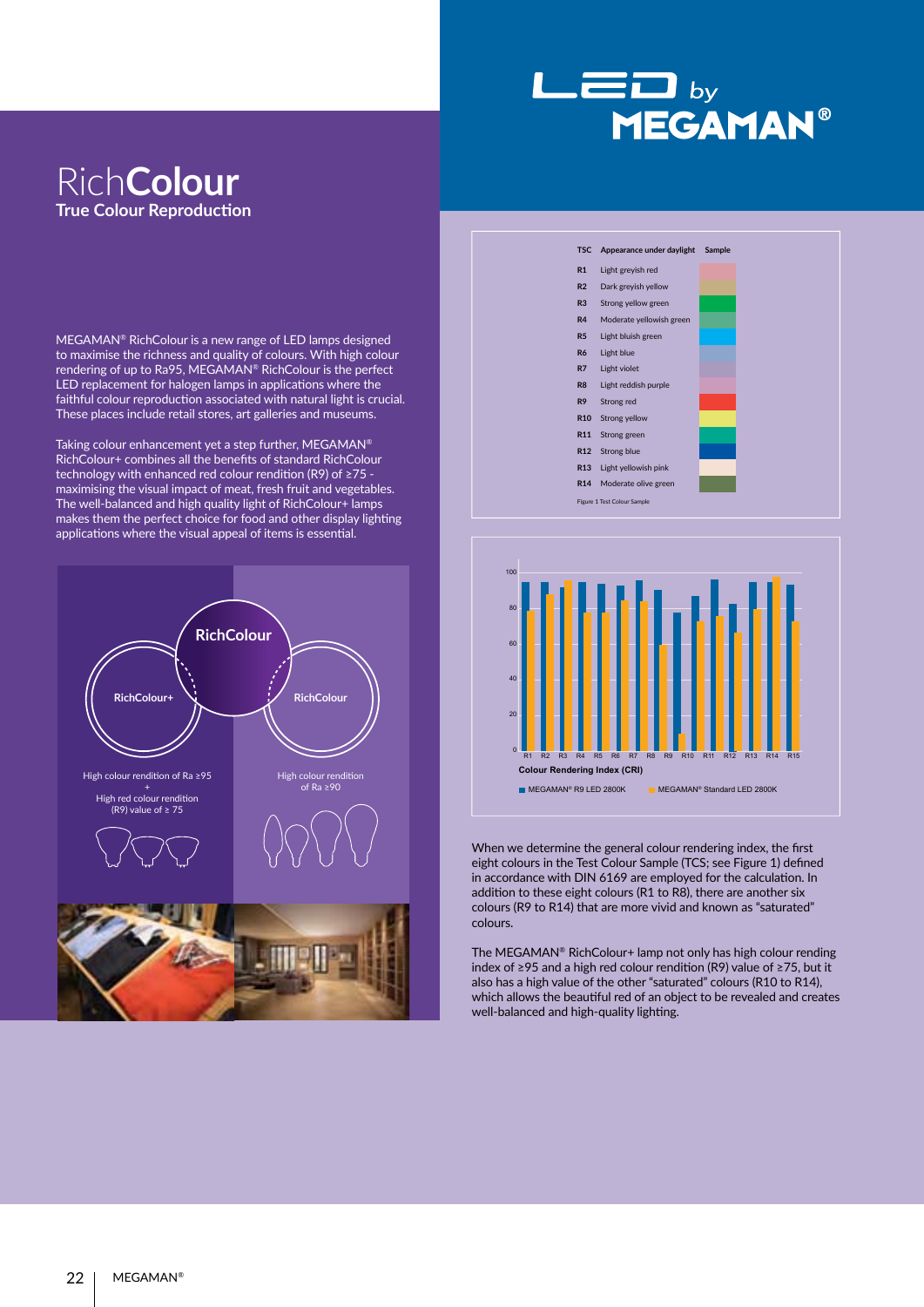## $L = D_{by}$ **MEGAMAN®**

## Rich**Colour True Colour Reproduction**

MEGAMAN® RichColour is a new range of LED lamps designed to maximise the richness and quality of colours. With high colour rendering of up to Ra95, MEGAMAN® RichColour is the perfect LED replacement for halogen lamps in applications where the faithful colour reproduction associated with natural light is crucial. These places include retail stores, art galleries and museums.

Taking colour enhancement yet a step further, MEGAMAN® RichColour+ combines all the benefits of standard RichColour technology with enhanced red colour rendition (R9) of  $\geq$ 75  $\cdot$ maximising the visual impact of meat, fresh fruit and vegetables. The well-balanced and high quality light of RichColour+ lamps makes them the perfect choice for food and other display lighting applications where the visual appeal of items is essential.







When we determine the general colour rendering index, the first eight colours in the Test Colour Sample (TCS; see Figure 1) defined in accordance with DIN 6169 are employed for the calculation. In addition to these eight colours (R1 to R8), there are another six colours (R9 to R14) that are more vivid and known as "saturated" colours.

The MEGAMAN® RichColour+ lamp not only has high colour rending index of ≥95 and a high red colour rendition (R9) value of ≥75, but it also has a high value of the other "saturated" colours (R10 to R14), which allows the beautiful red of an object to be revealed and creates well-balanced and high-quality lighting.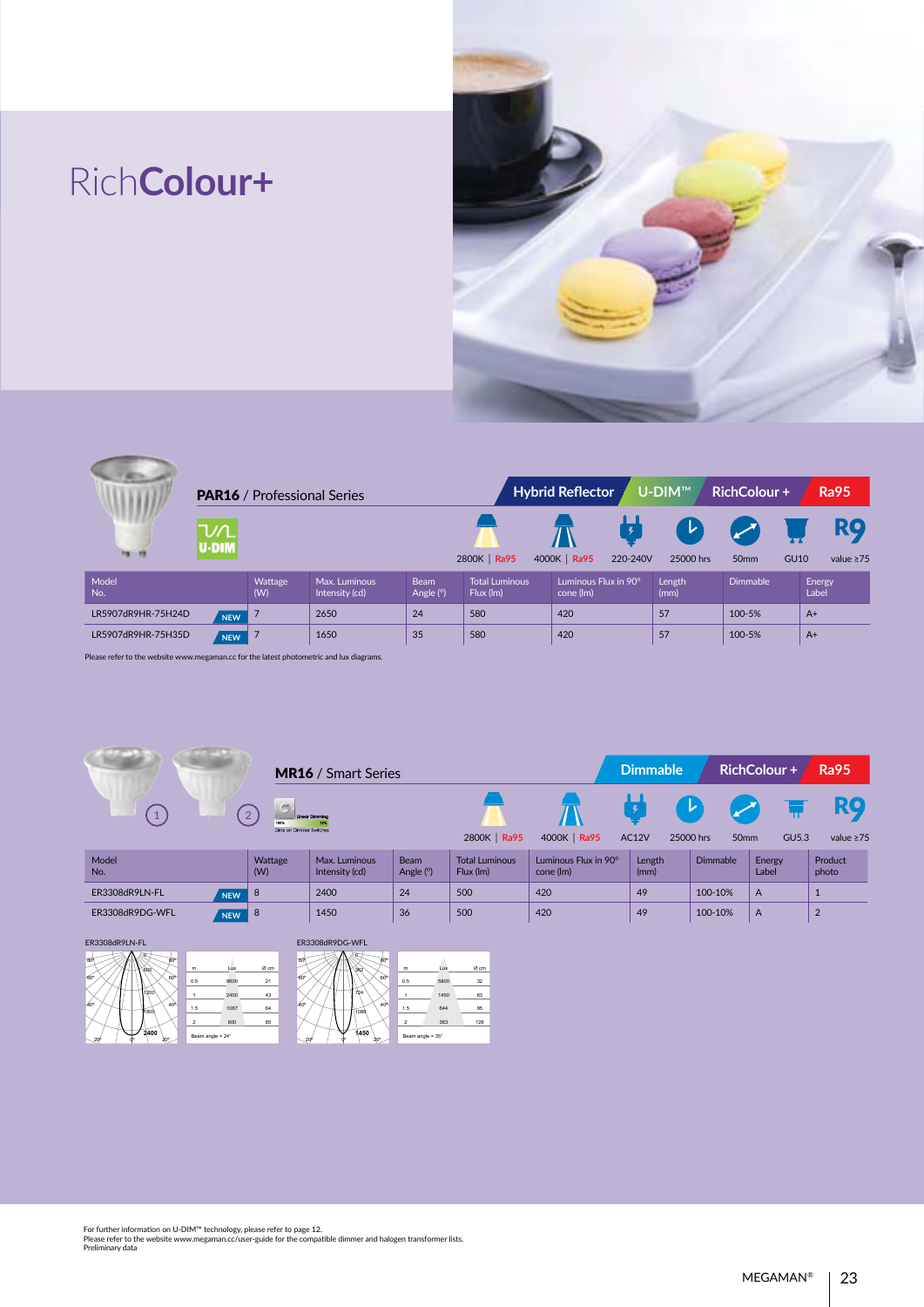## Rich**Colour+**



| <b>PAR16</b> / Professional Series |                      |                |                                 |                            |                                    | <b>Hybrid Reflector</b>           | U-DIM™         | <b>RichColour+</b> | <b>Ra95</b>                                 |
|------------------------------------|----------------------|----------------|---------------------------------|----------------------------|------------------------------------|-----------------------------------|----------------|--------------------|---------------------------------------------|
| <b>Fa</b> 19                       | ひ $\Lambda$<br>U-DIM |                |                                 |                            | 2800K   Ra95                       | 4000K   Ra95<br>220-240V          | レ<br>25000 hrs | 50 <sub>mm</sub>   | <b>RQ</b><br><b>GU10</b><br>value $\geq 75$ |
| Model<br>No.                       |                      | Wattage<br>(W) | Max. Luminous<br>Intensity (cd) | <b>Beam</b><br>Angle $(°)$ | <b>Total Luminous</b><br>Flux (lm) | Luminous Flux in 90°<br>cone (lm) | Length<br>(mm) | <b>Dimmable</b>    | Energy<br>Label                             |
| LR5907dR9HR-75H24D                 | <b>NEW</b>           | $\overline{7}$ | 2650                            | 24                         | 580                                | 420                               | 57             | 100-5%             | $A+$                                        |
| LR5907dR9HR-75H35D                 | <b>NEW</b>           |                | 1650                            | 35                         | 580                                | 420                               | 57             | 100-5%             | $A+$                                        |

Please refer to the website www.megaman.cc for the latest photometric and lux diagrams.

|                                |                                 | <b>MR16</b> / Smart Series      |                            |                                    |                                   | <b>Dimmable</b> |                                    | RichColour +    | <b>Ra95</b>      |
|--------------------------------|---------------------------------|---------------------------------|----------------------------|------------------------------------|-----------------------------------|-----------------|------------------------------------|-----------------|------------------|
| $\mathbf{1}$<br><b>COMPANY</b> | 100%<br>Dims on Dimmer Switches | <b>Linear Dimmina</b>           |                            | 2800K   Ra95                       | 4000K   Ra95                      | AC12V           | ▸<br>25000 hrs<br>50 <sub>mm</sub> | GU5.3           | value $\geq 75$  |
| Model<br>No.                   | Wattage<br>(W)                  | Max. Luminous<br>Intensity (cd) | <b>Beam</b><br>Angle $(°)$ | <b>Total Luminous</b><br>Flux (lm) | Luminous Flux in 90°<br>cone (lm) | Length<br>(mm)  | Dimmable                           | Energy<br>Label | Product<br>photo |
| ER3308dR9LN-FL<br><b>NEW</b>   | -8                              | 2400                            | 24                         | 500                                | 420                               | 49              | 100-10%                            | $\overline{A}$  |                  |
| ER3308dR9DG-WFL<br><b>NEW</b>  | -8                              | 1450                            | 36                         | 500                                | 420                               | 49              | 100-10%                            | $\overline{A}$  | $\overline{2}$   |

ER3308dR9LN-FL







For further information on U-DIM™ technology, please refer to page 12. Please refer to the website www.megaman.cc/user-guide for the compatible dimmer and halogen transformer lists. Preliminary data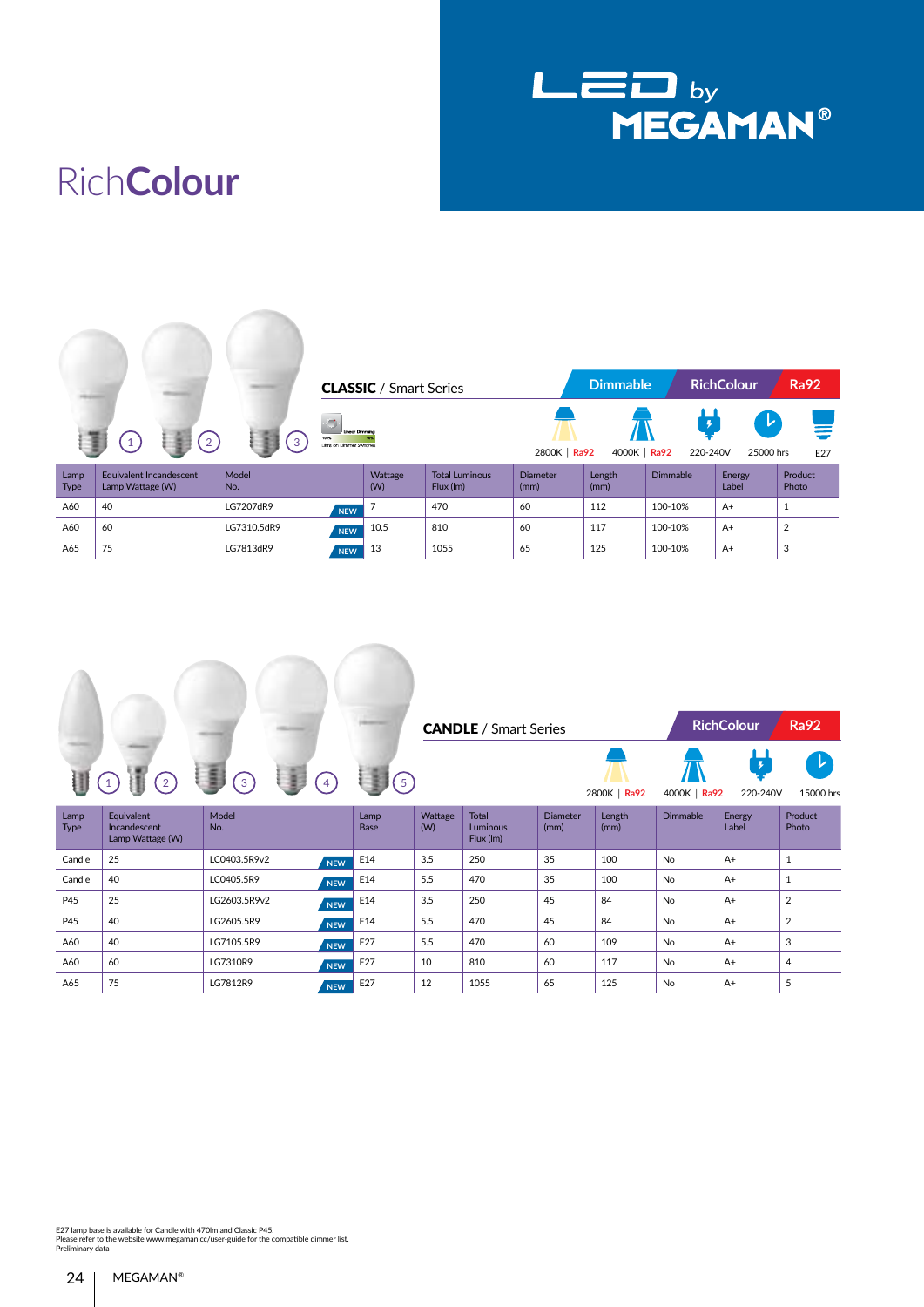

## Rich**Colour**

|                     |                                             |              |                                                          | <b>CLASSIC</b> / Smart Series |                                    |                         | <b>Dimmable</b> |                 | <b>RichColour</b>      | <b>Ra92</b>      |
|---------------------|---------------------------------------------|--------------|----------------------------------------------------------|-------------------------------|------------------------------------|-------------------------|-----------------|-----------------|------------------------|------------------|
|                     | 2                                           | $3^{\circ}$  | <b>Linear Dimming</b><br>100%<br>Dims on Dimmer Switches |                               |                                    | 2800K   Ra92            | 4000K   Ra92    | ļ<br>220-240V   | レ<br>25000 hrs         | E27              |
| Lamp<br><b>Type</b> | Equivalent Incandescent<br>Lamp Wattage (W) | Model<br>No. |                                                          | Wattage<br>(W)                | <b>Total Luminous</b><br>Flux (lm) | <b>Diameter</b><br>(mm) | Length<br>(mm)  | <b>Dimmable</b> | <b>Energy</b><br>Label | Product<br>Photo |
| A60                 | 40                                          | LG7207dR9    | <b>NEW</b>                                               |                               | 470                                | 60                      | 112             | 100-10%         | $A+$                   | 1                |
| A60                 | 60                                          | LG7310.5dR9  | <b>NEW</b>                                               | 10.5                          | 810                                | 60                      | 117             | 100-10%         | $A+$                   | $\overline{2}$   |
| A65                 | 75                                          | LG7813dR9    | <b>NEW</b>                                               | 13                            | 1055                               | 65                      | 125             | 100-10%         | $A+$                   | 3                |





| Lamp<br><b>Type</b> | Equivalent<br>Incandescent<br>Lamp Wattage (W) | Model<br>No. |            | Lamp<br>Base | Wattage<br>(W) | <b>Total</b><br>Luminous<br>Flux (Im) | <b>Diameter</b><br>(mm) | Length<br>(mm) | <b>Dimmable</b> | Energy<br>Label | Product<br>Photo |
|---------------------|------------------------------------------------|--------------|------------|--------------|----------------|---------------------------------------|-------------------------|----------------|-----------------|-----------------|------------------|
| Candle              | 25                                             | LC0403.5R9v2 | <b>NEW</b> | E14          | 3.5            | 250                                   | 35                      | 100            | No              | $A+$            |                  |
| Candle              | 40                                             | LC0405.5R9   | <b>NEW</b> | E14          | 5.5            | 470                                   | 35                      | 100            | <b>No</b>       | $A+$            |                  |
| P45                 | 25                                             | LG2603.5R9v2 | <b>NEW</b> | E14          | 3.5            | 250                                   | 45                      | 84             | No              | $A+$            | 2                |
| P45                 | 40                                             | LG2605.5R9   | <b>NEW</b> | E14          | 5.5            | 470                                   | 45                      | 84             | No              | $A+$            | 2                |
| A60                 | 40                                             | LG7105.5R9   | <b>NEW</b> | E27          | 5.5            | 470                                   | 60                      | 109            | No              | $A+$            | 3                |
| A60                 | 60                                             | LG7310R9     | <b>NEW</b> | E27          | 10             | 810                                   | 60                      | 117            | No              | $A+$            | 4                |
| A65                 | 75                                             | LG7812R9     | <b>NEW</b> | E27          | 12             | 1055                                  | 65                      | 125            | No              | $A+$            | 5                |

E27 lamp base is available for Candle with 470lm and Classic P45. Please refer to the website www.megaman.cc/user-guide for the compatible dimmer list. Preliminary data